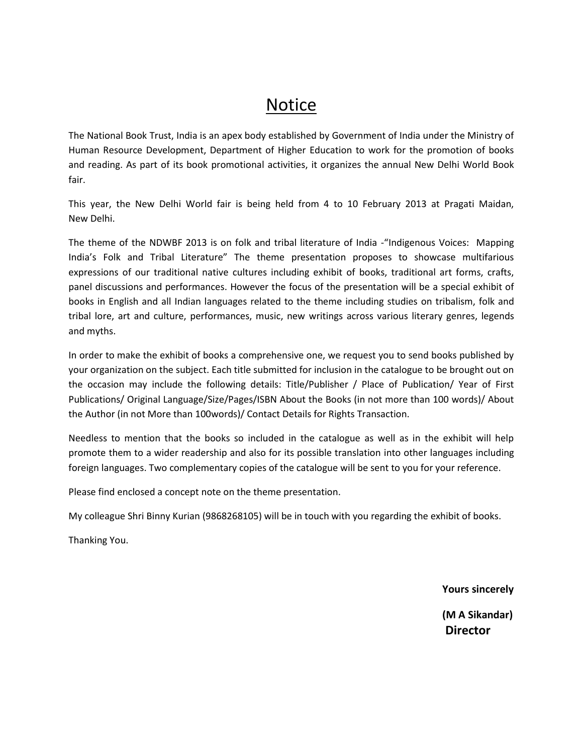## **Notice**

The National Book Trust, India is an apex body established by Government of India under the Ministry of Human Resource Development, Department of Higher Education to work for the promotion of books and reading. As part of its book promotional activities, it organizes the annual New Delhi World Book fair.

This year, the New Delhi World fair is being held from 4 to 10 February 2013 at Pragati Maidan, New Delhi.

The theme of the NDWBF 2013 is on folk and tribal literature of India -"Indigenous Voices: Mapping India's Folk and Tribal Literature" The theme presentation proposes to showcase multifarious expressions of our traditional native cultures including exhibit of books, traditional art forms, crafts, panel discussions and performances. However the focus of the presentation will be a special exhibit of books in English and all Indian languages related to the theme including studies on tribalism, folk and tribal lore, art and culture, performances, music, new writings across various literary genres, legends and myths.

In order to make the exhibit of books a comprehensive one, we request you to send books published by your organization on the subject. Each title submitted for inclusion in the catalogue to be brought out on the occasion may include the following details: Title/Publisher / Place of Publication/ Year of First Publications/ Original Language/Size/Pages/ISBN About the Books (in not more than 100 words)/ About the Author (in not More than 100words)/ Contact Details for Rights Transaction.

Needless to mention that the books so included in the catalogue as well as in the exhibit will help promote them to a wider readership and also for its possible translation into other languages including foreign languages. Two complementary copies of the catalogue will be sent to you for your reference.

Please find enclosed a concept note on the theme presentation.

My colleague Shri Binny Kurian (9868268105) will be in touch with you regarding the exhibit of books.

Thanking You.

 **Yours sincerely**

 **(M A Sikandar) Director**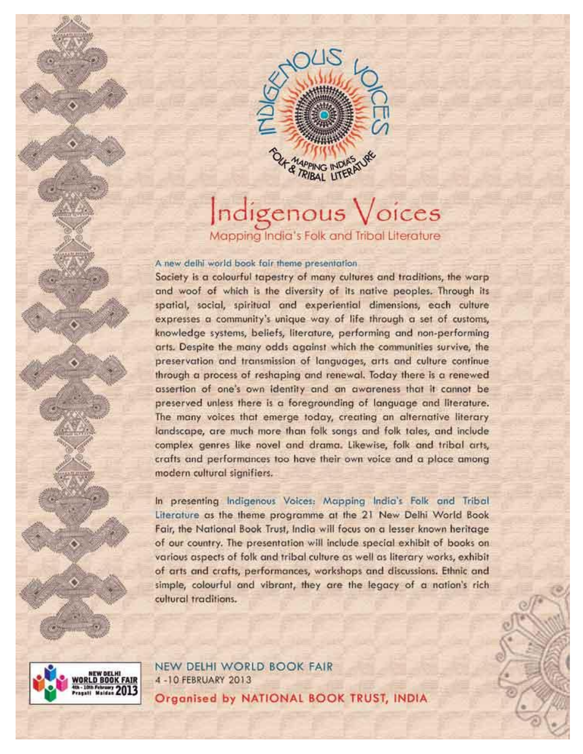

## ndigenous Voices Mapping India's Folk and Tribal Literature

A new delhi world book fair theme presentation.

Society is a colourful tapestry of many cultures and traditions, the warp and woof of which is the diversity of its native peoples. Through its spatial, social, spiritual and experiential dimensions, each culture expresses a community's unique way of life through a set of customs, knowledge systems, beliefs, literature, performing and non-performing arts. Despite the many odds against which the communities survive, the preservation and transmission of languages, arts and culture continue through a process of reshaping and renewal. Today there is a renewed assertion of one's own identity and an awareness that it cannot be preserved unless there is a foregrounding of language and literature. The many voices that emerge today, creating an alternative literary landscape, are much more than folk songs and folk tales, and include complex genres like novel and drama. Likewise, folk and tribal arts, crafts and performances too have their own voice and a place among modern cultural signifiers.

In presenting Indigenous Voices: Mapping India's Folk and Tribal Literature as the theme programme at the 21 New Delhi World Book Fair, the National Book Trust, India will focus on a lesser known heritage. of our country. The presentation will include special exhibit of books on various aspects of folk and tribal culture as well as literary works, exhibit of arts and crafts, performances, workshops and discussions. Ethnic and simple, colourful and vibrant, they are the legacy of a nation's rich cultural traditions.



NEW DELHI WORLD BOOK FAIR 4-10 FEBRUARY 2013 Organised by NATIONAL BOOK TRUST, INDIA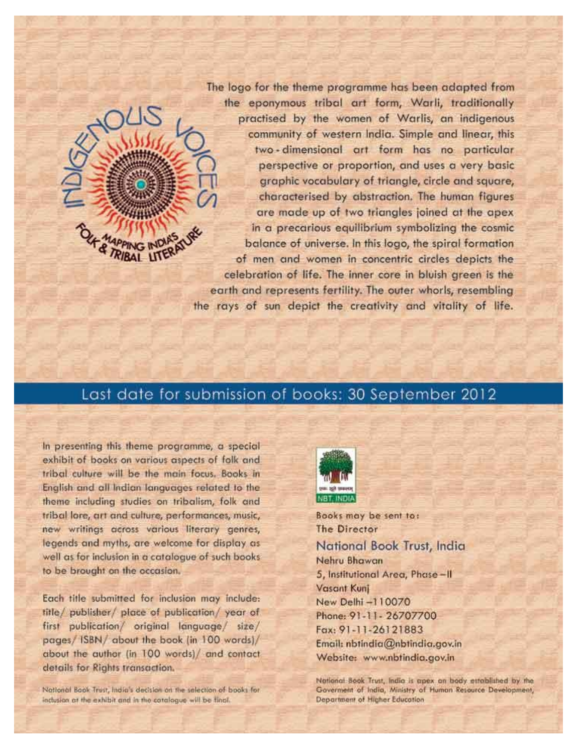The logo for the theme programme has been adapted from the eponymous tribal art form, Warli, traditionally practised by the women of Warlis, an indigenous community of western India. Simple and linear, this two-dimensional art form has no particular perspective or proportion, and uses a very basic graphic vocabulary of triangle, circle and square, characterised by abstraction. The human figures are made up of two triangles joined at the apex in a precarious equilibrium symbolizing the cosmic balance of universe. In this logo, the spiral formation of men and women in concentric circles depicts the celebration of life. The inner core in bluish areen is the earth and represents fertility. The outer whorls, resembling the rays of sun depict the creativity and vitality of life.

## Last date for submission of books: 30 September 2012

In presenting this theme programme, a special exhibit of books on various aspects of folk and tribal culture will be the main focus. Books in English and all Indian languages related to the theme including studies on tribalism, folk and tribal lore, art and culture, performances, music, new writings across various literary genres, legends and myths, are welcome for display as well as for inclusion in a catalogue of such books to be brought on the occasion.

Each title submitted for inclusion may include: title/ publisher/ place of publication/ year of first publication/ original language/ size/ pages/ ISBN/ about the book (in 100 words)/ about the author (in 100 words) and contact details for Rights transaction.

National Book Trust, India's decision on the selection of books for inclusion at the exhibit and in the catalogue will be tinal.



Books may be sent to: **The Director** National Book Trust, India Nehru Bhawan 5, Institutional Area, Phase-II **Vasant Kunj** New Delhi -110070 Phone: 91-11-26707700 Fax: 91-11-26121883 Email: nbtindia@nbtindia.gov.in Website: www.nbtindia.gov.in

National Book Trust, India is apex on body established by the Governent of India, Ministry of Human Resource Development, Department of Higher Education